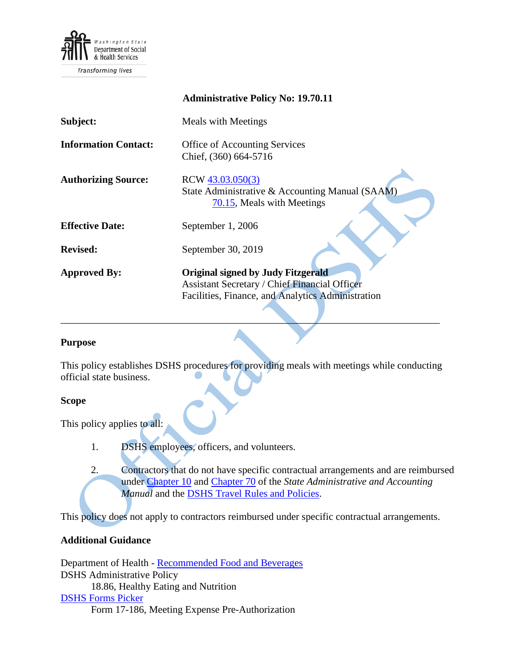

Transforming lives

|                             | <b>Administrative Policy No: 19.70.11</b>                                                                                                              |
|-----------------------------|--------------------------------------------------------------------------------------------------------------------------------------------------------|
| Subject:                    | <b>Meals with Meetings</b>                                                                                                                             |
| <b>Information Contact:</b> | <b>Office of Accounting Services</b><br>Chief, (360) 664-5716                                                                                          |
| <b>Authorizing Source:</b>  | RCW 43.03.050(3)<br>State Administrative & Accounting Manual (SAAM)<br>70.15, Meals with Meetings                                                      |
| <b>Effective Date:</b>      | September 1, 2006                                                                                                                                      |
| <b>Revised:</b>             | September 30, 2019                                                                                                                                     |
| <b>Approved By:</b>         | <b>Original signed by Judy Fitzgerald</b><br><b>Assistant Secretary / Chief Financial Officer</b><br>Facilities, Finance, and Analytics Administration |

### **Purpose**

This policy establishes DSHS procedures for providing meals with meetings while conducting official state business.

\_\_\_\_\_\_\_\_\_\_\_\_\_\_\_\_\_\_\_\_\_\_\_\_\_\_\_\_\_\_\_\_\_\_\_\_\_\_\_\_\_\_\_\_\_\_\_\_\_\_\_\_\_\_\_\_\_\_\_\_\_\_\_\_\_\_\_\_\_\_\_\_\_\_\_

#### **Scope**

This policy applies to all:

- 1. DSHS employees, officers, and volunteers.
- 2. Contractors that do not have specific contractual arrangements and are reimbursed under [Chapter 10](http://www.ofm.wa.gov/policy/10.htm) and [Chapter 70](http://www.ofm.wa.gov/policy/70.htm) of the *State Administrative and Accounting Manual* and the [DSHS Travel Rules and Policies.](http://one.dshs.wa.lcl/FS/Fiscal/Accounting/Travel/Pages/default.aspx)

This policy does not apply to contractors reimbursed under specific contractual arrangements.

### **Additional Guidance**

Department of Health - [Recommended Food and Beverages](http://one.dshs.wa.lcl/FS/Fiscal/Accounting/Payroll/Correspondence/Recommended%20Food%20and%20Beverages.pdf) DSHS Administrative Policy 18.86, Healthy Eating and Nutrition [DSHS Forms Picker](http://forms.dshs.wa.lcl/) Form 17-186, Meeting Expense Pre-Authorization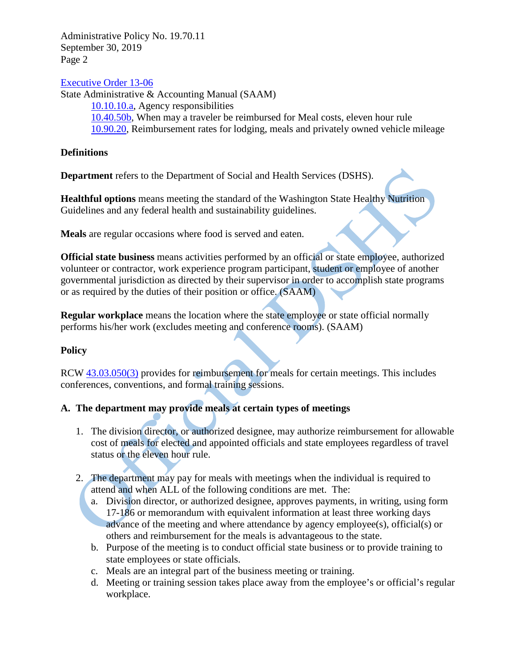Administrative Policy No. 19.70.11 September 30, 2019 Page 2

### [Executive Order 13-06](http://one.dshs.wa.lcl/FS/Fiscal/Accounting/Payroll/Correspondence/Executive%20Order%2013-06.pdf)

State Administrative & Accounting Manual (SAAM) [10.10.10.a,](http://www.ofm.wa.gov/policy/10.10.htm) Agency responsibilities [10.40.50b,](http://www.ofm.wa.gov/policy/10.40.htm#10.40.50) When may a traveler be reimbursed for Meal costs, eleven hour rule [10.90.20,](http://www.ofm.wa.gov/policy/10.90a.pdf) Reimbursement rates for lodging, meals and privately owned vehicle mileage

### **Definitions**

**Department** refers to the Department of Social and Health Services (DSHS).

**Healthful options** means meeting the standard of the Washington State Healthy Nutrition Guidelines and any federal health and sustainability guidelines.

**Meals** are regular occasions where food is served and eaten.

**Official state business** means activities performed by an official or state employee, authorized volunteer or contractor, work experience program participant, student or employee of another governmental jurisdiction as directed by their supervisor in order to accomplish state programs or as required by the duties of their position or office. (SAAM)

**Regular workplace** means the location where the state employee or state official normally performs his/her work (excludes meeting and conference rooms). (SAAM)

## **Policy**

RCW [43.03.050\(3\)](http://apps.leg.wa.gov/RCW/default.aspx?cite=43.03.050) provides for reimbursement for meals for certain meetings. This includes conferences, conventions, and formal training sessions.

# **A. The department may provide meals at certain types of meetings**

- 1. The division director, or authorized designee, may authorize reimbursement for allowable cost of meals for elected and appointed officials and state employees regardless of travel status or the eleven hour rule.
- 2. The department may pay for meals with meetings when the individual is required to attend and when ALL of the following conditions are met. The:
	- a. Division director, or authorized designee, approves payments, in writing, using form 17-186 or memorandum with equivalent information at least three working days advance of the meeting and where attendance by agency employee(s), official(s) or others and reimbursement for the meals is advantageous to the state.
	- b. Purpose of the meeting is to conduct official state business or to provide training to state employees or state officials.
	- c. Meals are an integral part of the business meeting or training.
	- d. Meeting or training session takes place away from the employee's or official's regular workplace.